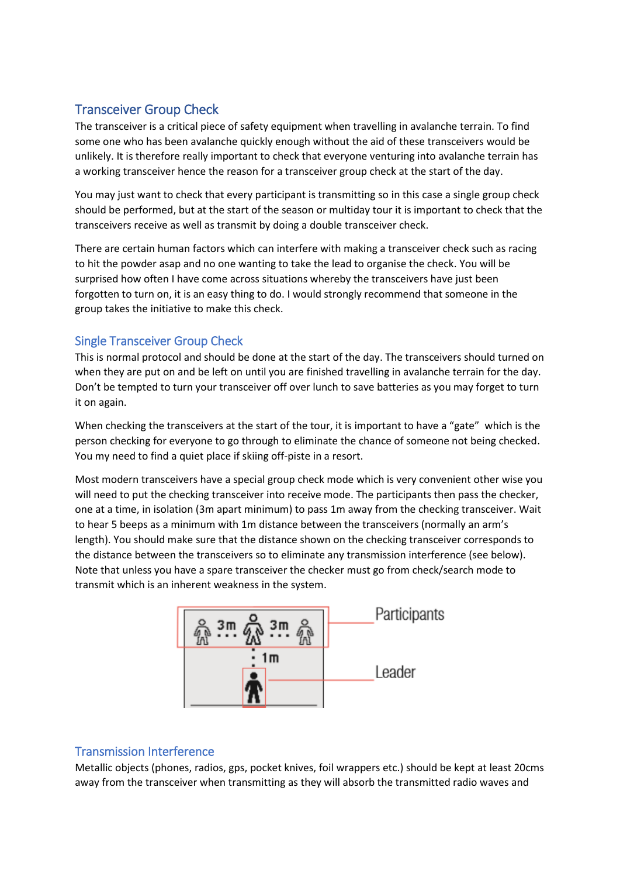# Transceiver Group Check

The transceiver is a critical piece of safety equipment when travelling in avalanche terrain. To find some one who has been avalanche quickly enough without the aid of these transceivers would be unlikely. It is therefore really important to check that everyone venturing into avalanche terrain has a working transceiver hence the reason for a transceiver group check at the start of the day.

You may just want to check that every participant is transmitting so in this case a single group check should be performed, but at the start of the season or multiday tour it is important to check that the transceivers receive as well as transmit by doing a double transceiver check.

There are certain human factors which can interfere with making a transceiver check such as racing to hit the powder asap and no one wanting to take the lead to organise the check. You will be surprised how often I have come across situations whereby the transceivers have just been forgotten to turn on, it is an easy thing to do. I would strongly recommend that someone in the group takes the initiative to make this check.

# Single Transceiver Group Check

This is normal protocol and should be done at the start of the day. The transceivers should turned on when they are put on and be left on until you are finished travelling in avalanche terrain for the day. Don't be tempted to turn your transceiver off over lunch to save batteries as you may forget to turn it on again.

When checking the transceivers at the start of the tour, it is important to have a "gate" which is the person checking for everyone to go through to eliminate the chance of someone not being checked. You my need to find a quiet place if skiing off-piste in a resort.

Most modern transceivers have a special group check mode which is very convenient other wise you will need to put the checking transceiver into receive mode. The participants then pass the checker, one at a time, in isolation (3m apart minimum) to pass 1m away from the checking transceiver. Wait to hear 5 beeps as a minimum with 1m distance between the transceivers (normally an arm's length). You should make sure that the distance shown on the checking transceiver corresponds to the distance between the transceivers so to eliminate any transmission interference (see below). Note that unless you have a spare transceiver the checker must go from check/search mode to transmit which is an inherent weakness in the system.



# Transmission Interference

Metallic objects (phones, radios, gps, pocket knives, foil wrappers etc.) should be kept at least 20cms away from the transceiver when transmitting as they will absorb the transmitted radio waves and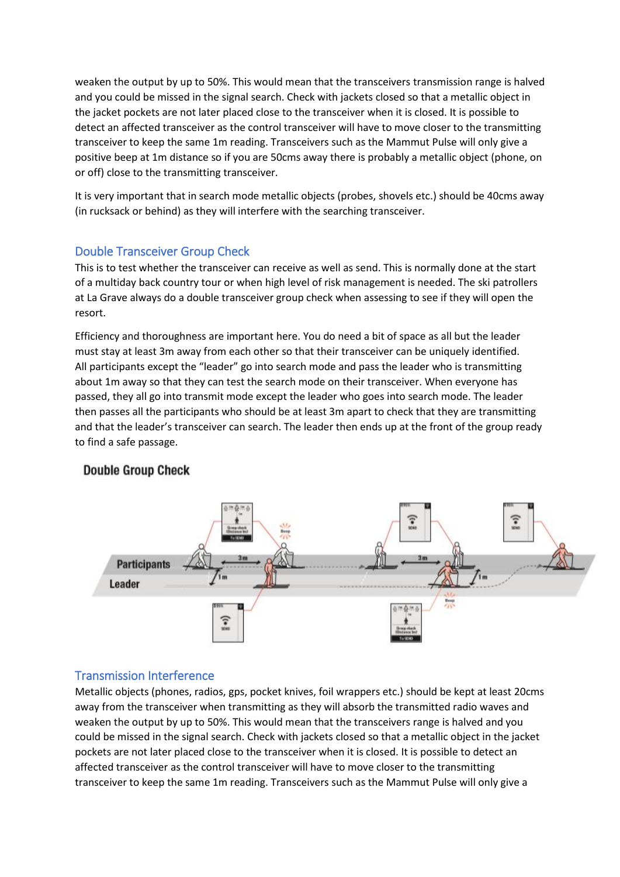weaken the output by up to 50%. This would mean that the transceivers transmission range is halved and you could be missed in the signal search. Check with jackets closed so that a metallic object in the jacket pockets are not later placed close to the transceiver when it is closed. It is possible to detect an affected transceiver as the control transceiver will have to move closer to the transmitting transceiver to keep the same 1m reading. Transceivers such as the Mammut Pulse will only give a positive beep at 1m distance so if you are 50cms away there is probably a metallic object (phone, on or off) close to the transmitting transceiver.

It is very important that in search mode metallic objects (probes, shovels etc.) should be 40cms away (in rucksack or behind) as they will interfere with the searching transceiver.

## Double Transceiver Group Check

This is to test whether the transceiver can receive as well as send. This is normally done at the start of a multiday back country tour or when high level of risk management is needed. The ski patrollers at La Grave always do a double transceiver group check when assessing to see if they will open the resort.

Efficiency and thoroughness are important here. You do need a bit of space as all but the leader must stay at least 3m away from each other so that their transceiver can be uniquely identified. All participants except the "leader" go into search mode and pass the leader who is transmitting about 1m away so that they can test the search mode on their transceiver. When everyone has passed, they all go into transmit mode except the leader who goes into search mode. The leader then passes all the participants who should be at least 3m apart to check that they are transmitting and that the leader's transceiver can search. The leader then ends up at the front of the group ready to find a safe passage.

### **Double Group Check**



### Transmission Interference

Metallic objects (phones, radios, gps, pocket knives, foil wrappers etc.) should be kept at least 20cms away from the transceiver when transmitting as they will absorb the transmitted radio waves and weaken the output by up to 50%. This would mean that the transceivers range is halved and you could be missed in the signal search. Check with jackets closed so that a metallic object in the jacket pockets are not later placed close to the transceiver when it is closed. It is possible to detect an affected transceiver as the control transceiver will have to move closer to the transmitting transceiver to keep the same 1m reading. Transceivers such as the Mammut Pulse will only give a